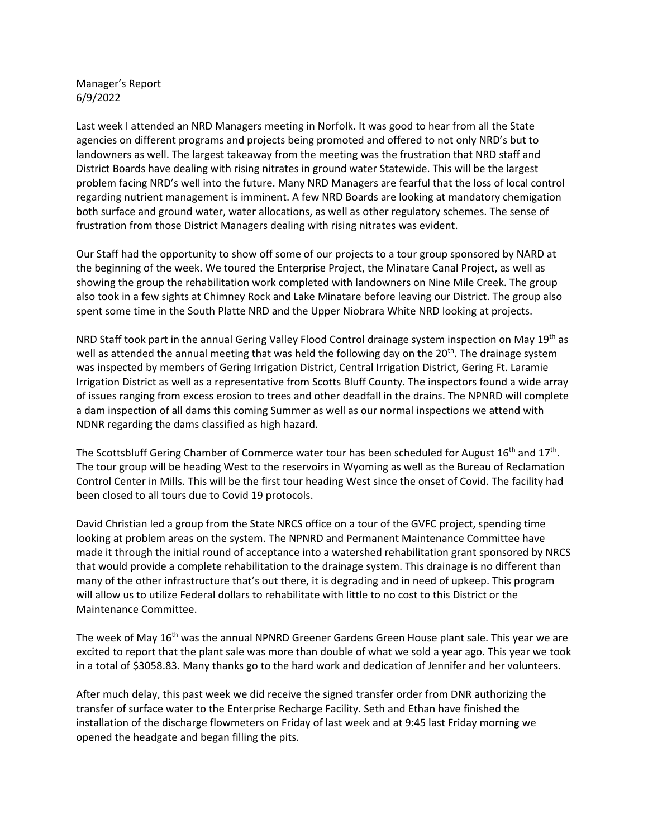Manager's Report 6/9/2022

Last week I attended an NRD Managers meeting in Norfolk. It was good to hear from all the State agencies on different programs and projects being promoted and offered to not only NRD's but to landowners as well. The largest takeaway from the meeting was the frustration that NRD staff and District Boards have dealing with rising nitrates in ground water Statewide. This will be the largest problem facing NRD's well into the future. Many NRD Managers are fearful that the loss of local control regarding nutrient management is imminent. A few NRD Boards are looking at mandatory chemigation both surface and ground water, water allocations, as well as other regulatory schemes. The sense of frustration from those District Managers dealing with rising nitrates was evident.

Our Staff had the opportunity to show off some of our projects to a tour group sponsored by NARD at the beginning of the week. We toured the Enterprise Project, the Minatare Canal Project, as well as showing the group the rehabilitation work completed with landowners on Nine Mile Creek. The group also took in a few sights at Chimney Rock and Lake Minatare before leaving our District. The group also spent some time in the South Platte NRD and the Upper Niobrara White NRD looking at projects.

NRD Staff took part in the annual Gering Valley Flood Control drainage system inspection on May 19<sup>th</sup> as well as attended the annual meeting that was held the following day on the 20<sup>th</sup>. The drainage system was inspected by members of Gering Irrigation District, Central Irrigation District, Gering Ft. Laramie Irrigation District as well as a representative from Scotts Bluff County. The inspectors found a wide array of issues ranging from excess erosion to trees and other deadfall in the drains. The NPNRD will complete a dam inspection of all dams this coming Summer as well as our normal inspections we attend with NDNR regarding the dams classified as high hazard.

The Scottsbluff Gering Chamber of Commerce water tour has been scheduled for August 16<sup>th</sup> and 17<sup>th</sup>. The tour group will be heading West to the reservoirs in Wyoming as well as the Bureau of Reclamation Control Center in Mills. This will be the first tour heading West since the onset of Covid. The facility had been closed to all tours due to Covid 19 protocols.

David Christian led a group from the State NRCS office on a tour of the GVFC project, spending time looking at problem areas on the system. The NPNRD and Permanent Maintenance Committee have made it through the initial round of acceptance into a watershed rehabilitation grant sponsored by NRCS that would provide a complete rehabilitation to the drainage system. This drainage is no different than many of the other infrastructure that's out there, it is degrading and in need of upkeep. This program will allow us to utilize Federal dollars to rehabilitate with little to no cost to this District or the Maintenance Committee.

The week of May  $16<sup>th</sup>$  was the annual NPNRD Greener Gardens Green House plant sale. This year we are excited to report that the plant sale was more than double of what we sold a year ago. This year we took in a total of \$3058.83. Many thanks go to the hard work and dedication of Jennifer and her volunteers.

After much delay, this past week we did receive the signed transfer order from DNR authorizing the transfer of surface water to the Enterprise Recharge Facility. Seth and Ethan have finished the installation of the discharge flowmeters on Friday of last week and at 9:45 last Friday morning we opened the headgate and began filling the pits.